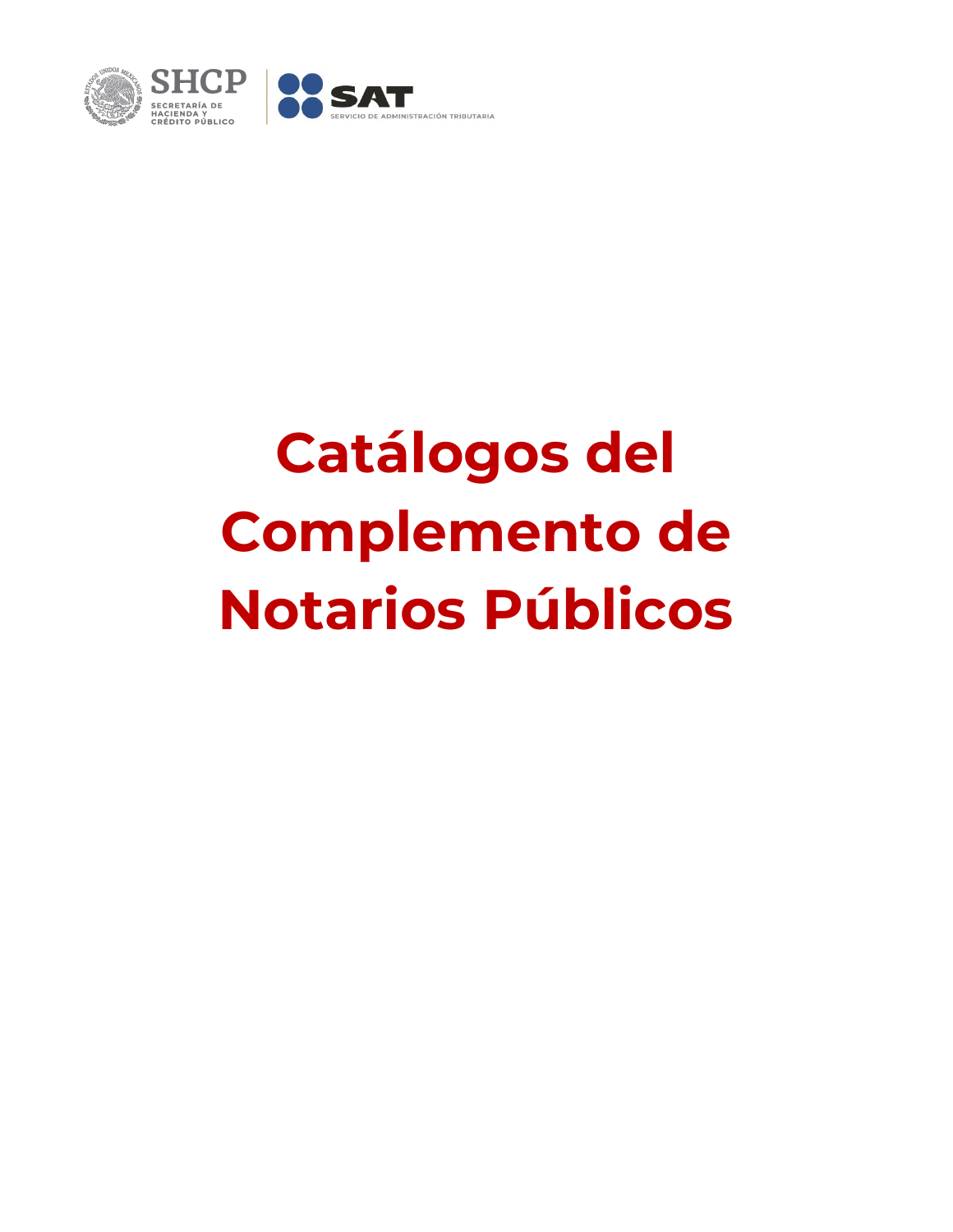

## **Catálogos del Complemento de Notarios Públicos**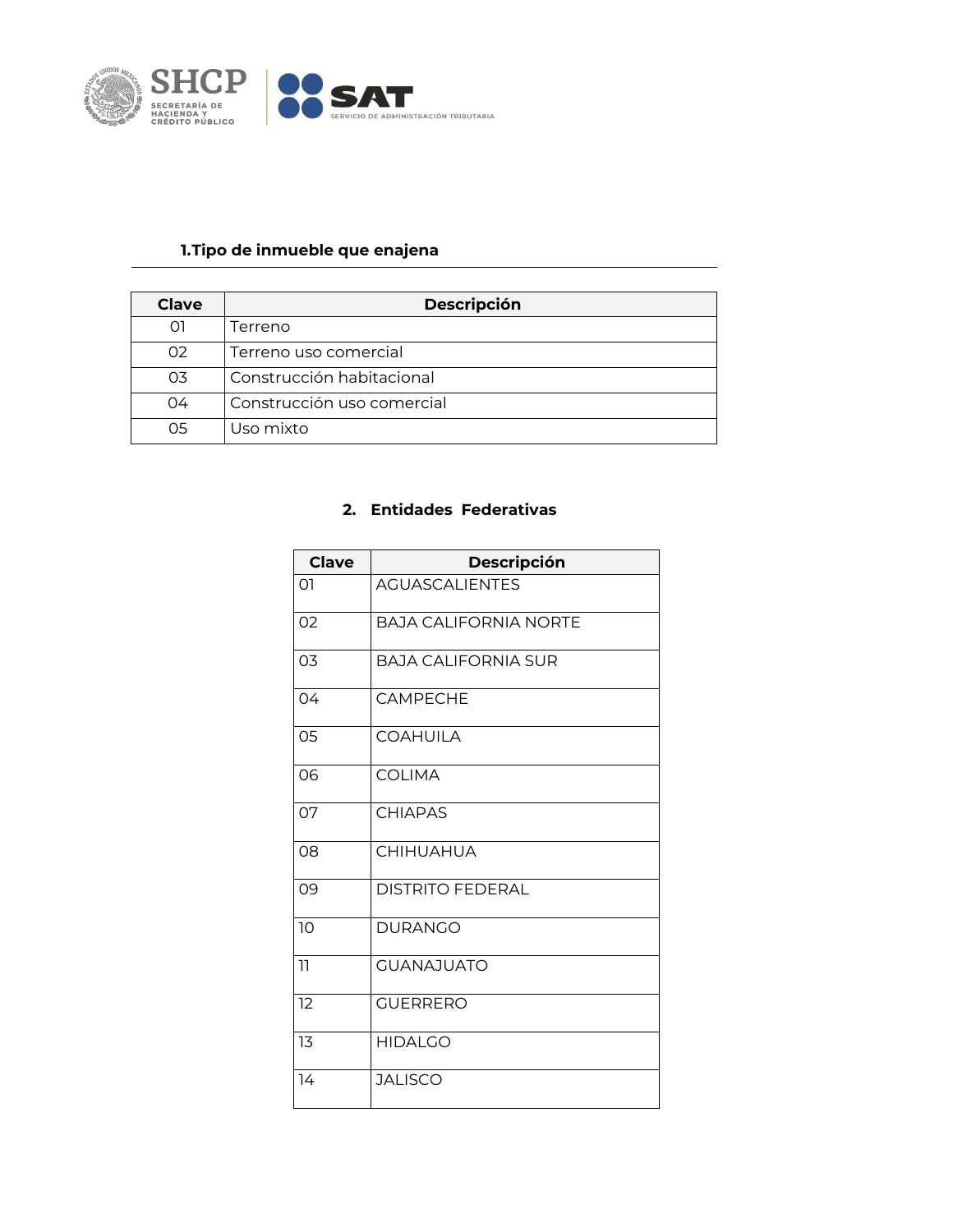

## **1.Tipo de inmueble que enajena**

| Clave          | <b>Descripción</b>         |
|----------------|----------------------------|
| റി             | Terreno                    |
| O <sub>2</sub> | Terreno uso comercial      |
| 03             | Construcción habitacional  |
| 04             | Construcción uso comercial |
| 05             | Uso mixto                  |

## **2. Entidades Federativas**

| <b>Clave</b>   | Descripción                  |
|----------------|------------------------------|
| 01             | <b>AGUASCALIENTES</b>        |
| 02             | <b>BAJA CALIFORNIA NORTE</b> |
| O <sub>3</sub> | <b>BAJA CALIFORNIA SUR</b>   |
| 04             | <b>CAMPFCHF</b>              |
| 05             | <b>COAHUILA</b>              |
| 06             | <b>COLIMA</b>                |
| 07             | <b>CHIAPAS</b>               |
| 08             | <b>CHIHUAHUA</b>             |
| 09             | <b>DISTRITO FEDERAL</b>      |
| 10             | <b>DURANGO</b>               |
| 11             | <b>GUANAJUATO</b>            |
| 12             | <b>GUERRERO</b>              |
| 13             | <b>HIDALGO</b>               |
| 14             | <b>JALISCO</b>               |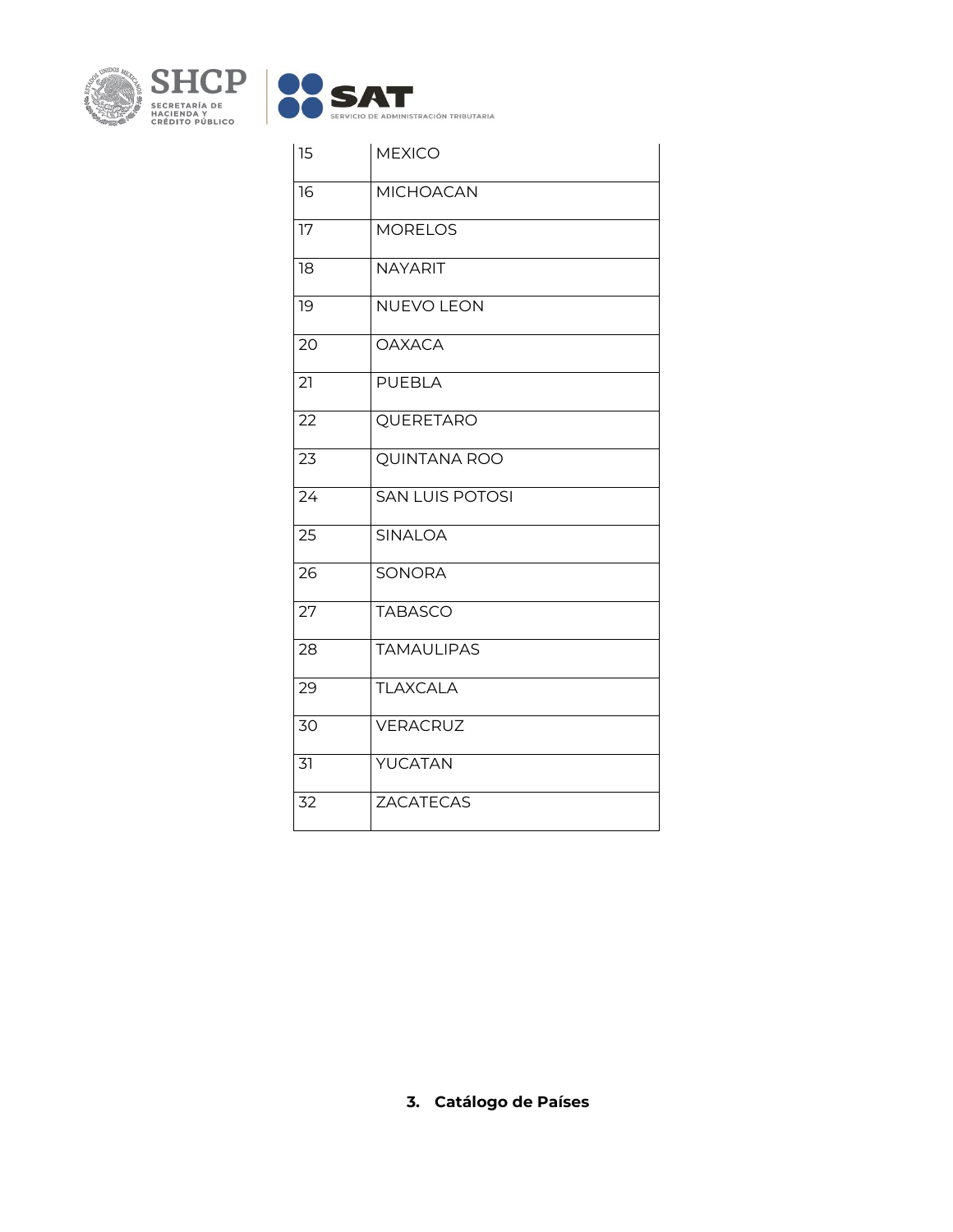

| 15 | <b>MEXICO</b>          |
|----|------------------------|
| 16 | <b>MICHOACAN</b>       |
| 17 | <b>MORELOS</b>         |
| 18 | <b>NAYARIT</b>         |
| 19 | <b>NUEVO LEON</b>      |
| 20 | <b>OAXACA</b>          |
| 21 | <b>PUEBLA</b>          |
| 22 | QUERETARO              |
| 23 | <b>QUINTANA ROO</b>    |
| 24 | <b>SAN LUIS POTOSI</b> |
| 25 | <b>SINALOA</b>         |
| 26 | <b>SONORA</b>          |
| 27 | <b>TABASCO</b>         |
| 28 | <b>TAMAULIPAS</b>      |
| 29 | <b>TLAXCALA</b>        |
| 30 | VERACRUZ               |
| 31 | YUCATAN                |
| 32 | <b>ZACATECAS</b>       |

**3. Catálogo de Países**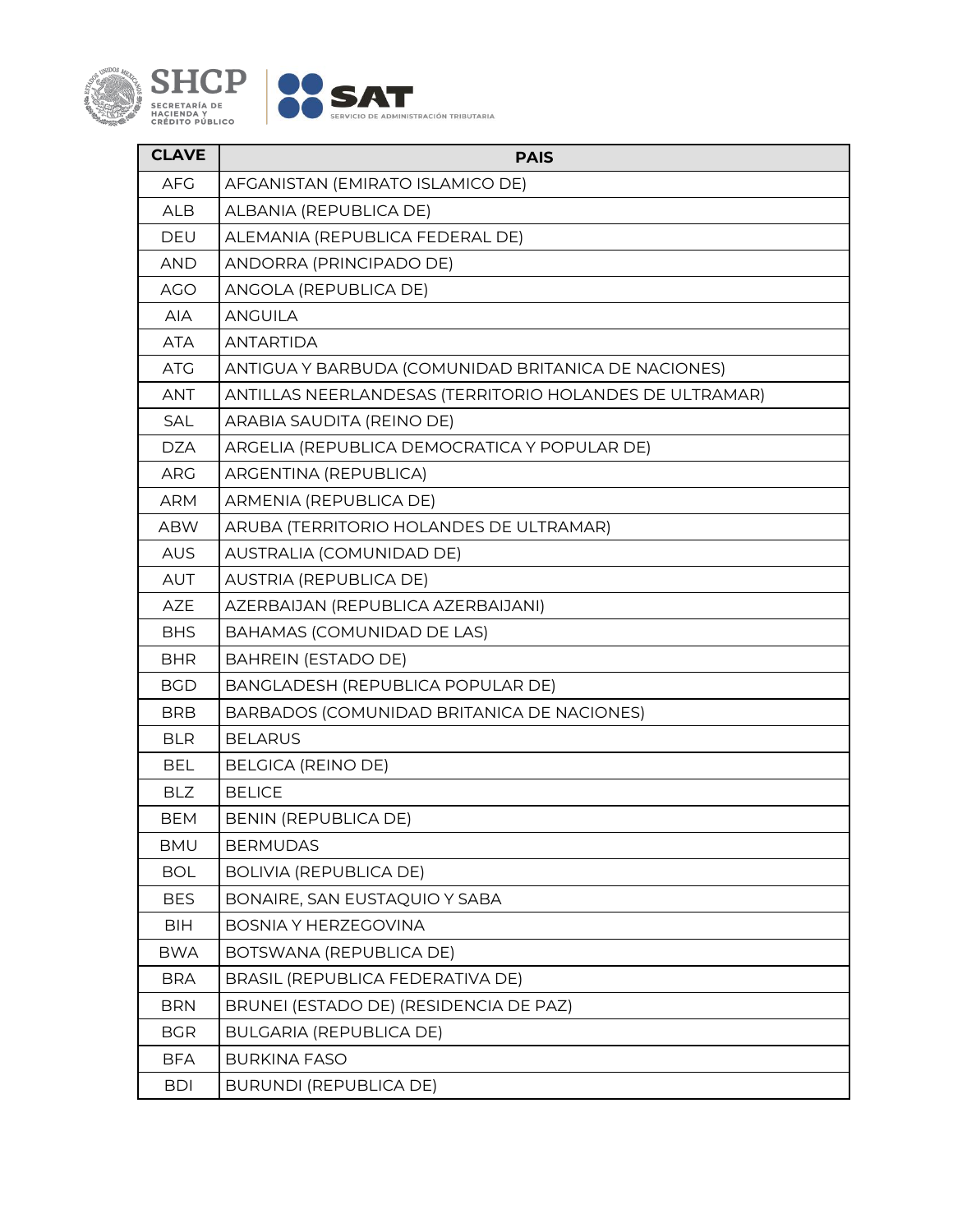

| <b>CLAVE</b> | <b>PAIS</b>                                             |
|--------------|---------------------------------------------------------|
| <b>AFG</b>   | AFGANISTAN (EMIRATO ISLAMICO DE)                        |
| <b>ALB</b>   | ALBANIA (REPUBLICA DE)                                  |
| DEU          | ALEMANIA (REPUBLICA FEDERAL DE)                         |
| <b>AND</b>   | ANDORRA (PRINCIPADO DE)                                 |
| <b>AGO</b>   | ANGOLA (REPUBLICA DE)                                   |
| AIA          | <b>ANGUILA</b>                                          |
| <b>ATA</b>   | <b>ANTARTIDA</b>                                        |
| <b>ATG</b>   | ANTIGUA Y BARBUDA (COMUNIDAD BRITANICA DE NACIONES)     |
| <b>ANT</b>   | ANTILLAS NEERLANDESAS (TERRITORIO HOLANDES DE ULTRAMAR) |
| <b>SAL</b>   | ARABIA SAUDITA (REINO DE)                               |
| <b>DZA</b>   | ARGELIA (REPUBLICA DEMOCRATICA Y POPULAR DE)            |
| <b>ARG</b>   | ARGENTINA (REPUBLICA)                                   |
| <b>ARM</b>   | ARMENIA (REPUBLICA DE)                                  |
| <b>ABW</b>   | ARUBA (TERRITORIO HOLANDES DE ULTRAMAR)                 |
| <b>AUS</b>   | AUSTRALIA (COMUNIDAD DE)                                |
| AUT          | AUSTRIA (REPUBLICA DE)                                  |
| <b>AZE</b>   | AZERBAIJAN (REPUBLICA AZERBAIJANI)                      |
| <b>BHS</b>   | BAHAMAS (COMUNIDAD DE LAS)                              |
| <b>BHR</b>   | <b>BAHREIN (ESTADO DE)</b>                              |
| <b>BGD</b>   | BANGLADESH (REPUBLICA POPULAR DE)                       |
| <b>BRB</b>   | BARBADOS (COMUNIDAD BRITANICA DE NACIONES)              |
| <b>BLR</b>   | <b>BELARUS</b>                                          |
| <b>BEL</b>   | BELGICA (REINO DE)                                      |
| <b>BLZ</b>   | <b>BELICE</b>                                           |
| <b>BEM</b>   | BENIN (REPUBLICA DE)                                    |
| <b>BMU</b>   | <b>BERMUDAS</b>                                         |
| <b>BOL</b>   | <b>BOLIVIA (REPUBLICA DE)</b>                           |
| <b>BES</b>   | BONAIRE, SAN EUSTAQUIO Y SABA                           |
| BIH          | <b>BOSNIA Y HERZEGOVINA</b>                             |
| <b>BWA</b>   | BOTSWANA (REPUBLICA DE)                                 |
| <b>BRA</b>   | BRASIL (REPUBLICA FEDERATIVA DE)                        |
| <b>BRN</b>   | BRUNEI (ESTADO DE) (RESIDENCIA DE PAZ)                  |
| <b>BGR</b>   | <b>BULGARIA (REPUBLICA DE)</b>                          |
| <b>BFA</b>   | <b>BURKINA FASO</b>                                     |
| <b>BDI</b>   | <b>BURUNDI (REPUBLICA DE)</b>                           |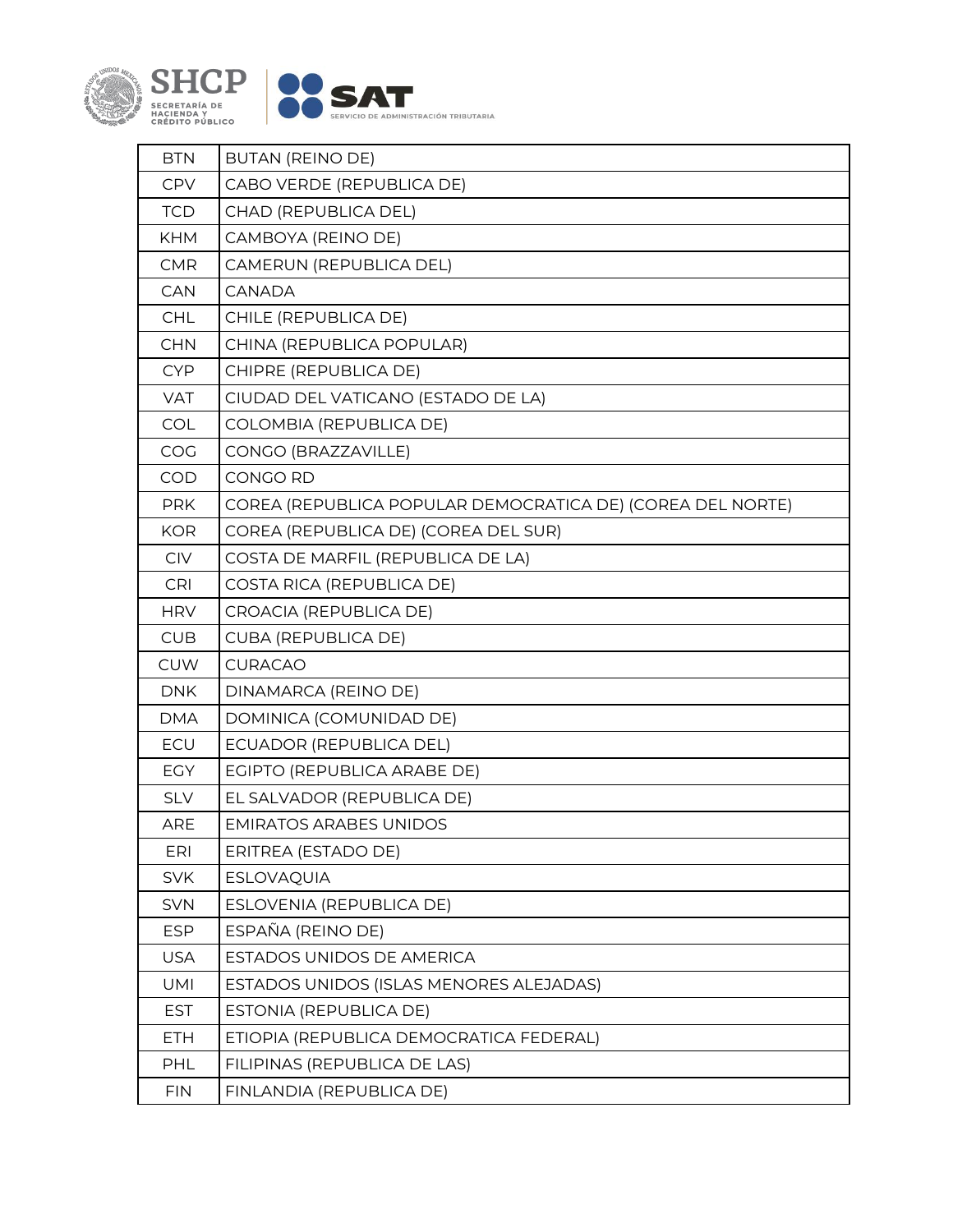

| <b>BTN</b> | <b>BUTAN (REINO DE)</b>                                    |
|------------|------------------------------------------------------------|
| CPV        | CABO VERDE (REPUBLICA DE)                                  |
| <b>TCD</b> | CHAD (REPUBLICA DEL)                                       |
| <b>KHM</b> | CAMBOYA (REINO DE)                                         |
| <b>CMR</b> | CAMERUN (REPUBLICA DEL)                                    |
| CAN        | <b>CANADA</b>                                              |
| <b>CHL</b> | CHILE (REPUBLICA DE)                                       |
| <b>CHN</b> | CHINA (REPUBLICA POPULAR)                                  |
| <b>CYP</b> | CHIPRE (REPUBLICA DE)                                      |
| <b>VAT</b> | CIUDAD DEL VATICANO (ESTADO DE LA)                         |
| COL        | COLOMBIA (REPUBLICA DE)                                    |
| COG        | CONGO (BRAZZAVILLE)                                        |
| <b>COD</b> | CONGO RD                                                   |
| <b>PRK</b> | COREA (REPUBLICA POPULAR DEMOCRATICA DE) (COREA DEL NORTE) |
| <b>KOR</b> | COREA (REPUBLICA DE) (COREA DEL SUR)                       |
| CIV        | COSTA DE MARFIL (REPUBLICA DE LA)                          |
| CRI        | COSTA RICA (REPUBLICA DE)                                  |
| <b>HRV</b> | CROACIA (REPUBLICA DE)                                     |
| <b>CUB</b> | <b>CUBA (REPUBLICA DE)</b>                                 |
| <b>CUW</b> | <b>CURACAO</b>                                             |
| <b>DNK</b> | DINAMARCA (REINO DE)                                       |
| <b>DMA</b> | DOMINICA (COMUNIDAD DE)                                    |
| ECU        | ECUADOR (REPUBLICA DEL)                                    |
| <b>EGY</b> | EGIPTO (REPUBLICA ARABE DE)                                |
| <b>SLV</b> | EL SALVADOR (REPUBLICA DE)                                 |
| <b>ARE</b> | <b>EMIRATOS ARABES UNIDOS</b>                              |
| <b>ERI</b> | ERITREA (ESTADO DE)                                        |
| <b>SVK</b> | <b>ESLOVAQUIA</b>                                          |
| <b>SVN</b> | ESLOVENIA (REPUBLICA DE)                                   |
| <b>ESP</b> | ESPAÑA (REINO DE)                                          |
| <b>USA</b> |                                                            |
|            | ESTADOS UNIDOS DE AMERICA                                  |
| UMI        | ESTADOS UNIDOS (ISLAS MENORES ALEJADAS)                    |
| <b>EST</b> | ESTONIA (REPUBLICA DE)                                     |
| <b>ETH</b> | ETIOPIA (REPUBLICA DEMOCRATICA FEDERAL)                    |
| PHL        | FILIPINAS (REPUBLICA DE LAS)                               |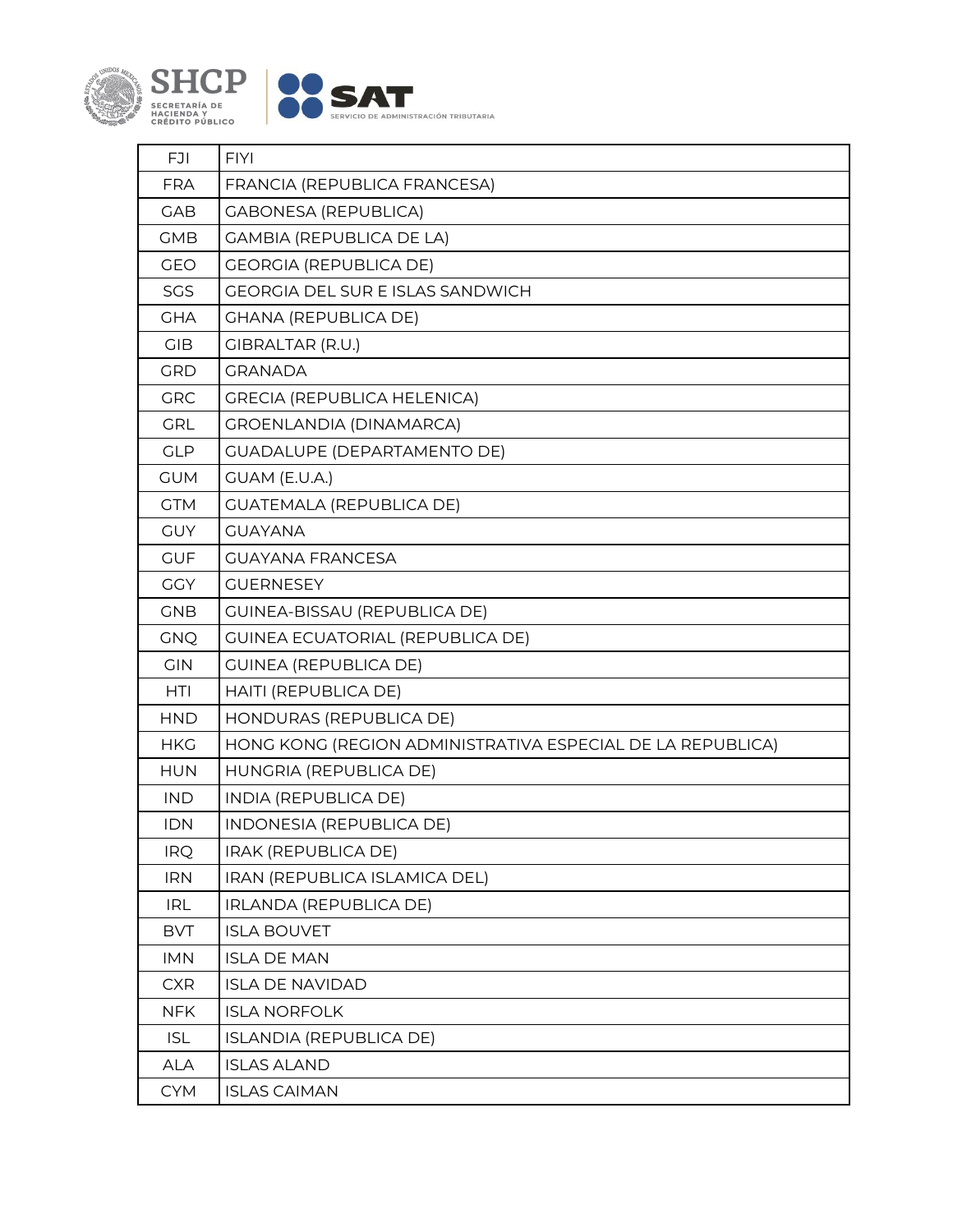

| <b>FJI</b> | <b>FIYI</b>                                                |
|------------|------------------------------------------------------------|
| <b>FRA</b> | FRANCIA (REPUBLICA FRANCESA)                               |
| <b>GAB</b> | <b>GABONESA (REPUBLICA)</b>                                |
| <b>GMB</b> | <b>GAMBIA (REPUBLICA DE LA)</b>                            |
| <b>GEO</b> | <b>GEORGIA (REPUBLICA DE)</b>                              |
| SGS        | <b>GEORGIA DEL SUR E ISLAS SANDWICH</b>                    |
| <b>GHA</b> | <b>GHANA (REPUBLICA DE)</b>                                |
| <b>GIB</b> | <b>GIBRALTAR (R.U.)</b>                                    |
| GRD        | <b>GRANADA</b>                                             |
| <b>GRC</b> | <b>GRECIA (REPUBLICA HELENICA)</b>                         |
| <b>GRL</b> | <b>GROENLANDIA (DINAMARCA)</b>                             |
| <b>GLP</b> | <b>GUADALUPE (DEPARTAMENTO DE)</b>                         |
| <b>GUM</b> | GUAM (E.U.A.)                                              |
| <b>GTM</b> | <b>GUATEMALA (REPUBLICA DE)</b>                            |
| <b>GUY</b> | <b>GUAYANA</b>                                             |
| <b>GUF</b> | <b>GUAYANA FRANCESA</b>                                    |
| <b>GGY</b> | <b>GUERNESEY</b>                                           |
| <b>GNB</b> | <b>GUINEA-BISSAU (REPUBLICA DE)</b>                        |
| <b>GNQ</b> | <b>GUINEA ECUATORIAL (REPUBLICA DE)</b>                    |
| <b>GIN</b> | <b>GUINEA (REPUBLICA DE)</b>                               |
| HTI        | HAITI (REPUBLICA DE)                                       |
| <b>HND</b> | HONDURAS (REPUBLICA DE)                                    |
| <b>HKG</b> | HONG KONG (REGION ADMINISTRATIVA ESPECIAL DE LA REPUBLICA) |
| <b>HUN</b> | HUNGRIA (REPUBLICA DE)                                     |
| <b>IND</b> | <b>INDIA (REPUBLICA DE)</b>                                |
| <b>IDN</b> | INDONESIA (REPUBLICA DE)                                   |
| <b>IRQ</b> | IRAK (REPUBLICA DE)                                        |
| <b>IRN</b> | IRAN (REPUBLICA ISLAMICA DEL)                              |
| <b>IRL</b> | IRLANDA (REPUBLICA DE)                                     |
| <b>BVT</b> | <b>ISLA BOUVET</b>                                         |
| <b>IMN</b> | <b>ISLA DE MAN</b>                                         |
| <b>CXR</b> | <b>ISLA DE NAVIDAD</b>                                     |
| <b>NFK</b> | <b>ISLA NORFOLK</b>                                        |
| <b>ISL</b> | <b>ISLANDIA (REPUBLICA DE)</b>                             |
| <b>ALA</b> | <b>ISLAS ALAND</b>                                         |
| <b>CYM</b> | <b>ISLAS CAIMAN</b>                                        |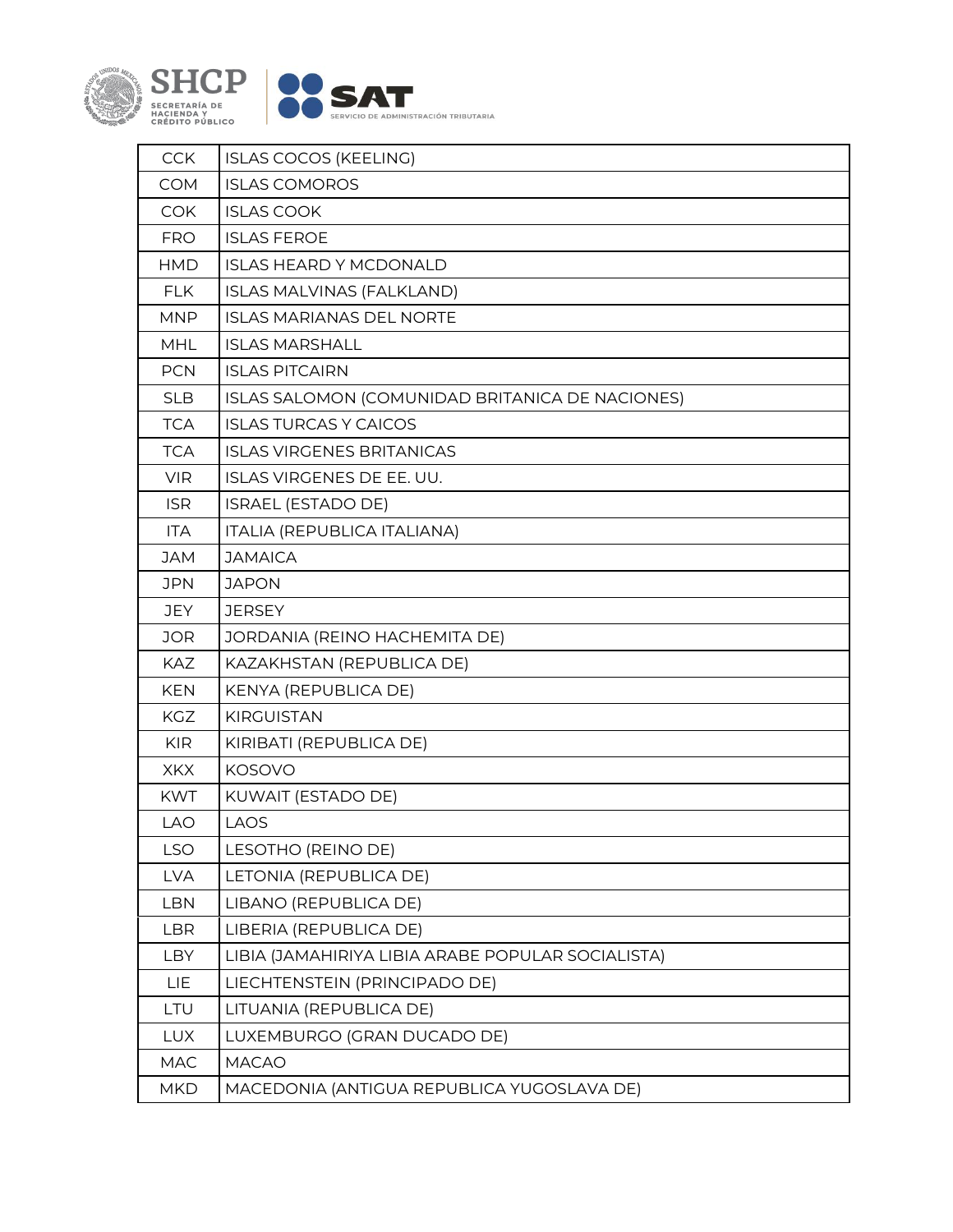

| <b>CCK</b> | <b>ISLAS COCOS (KEELING)</b>                      |
|------------|---------------------------------------------------|
| <b>COM</b> | <b>ISLAS COMOROS</b>                              |
| <b>COK</b> | <b>ISLAS COOK</b>                                 |
| <b>FRO</b> | <b>ISLAS FEROE</b>                                |
| <b>HMD</b> | <b>ISLAS HEARD Y MCDONALD</b>                     |
| <b>FLK</b> | ISLAS MALVINAS (FALKLAND)                         |
| <b>MNP</b> | <b>ISLAS MARIANAS DEL NORTE</b>                   |
| <b>MHL</b> | <b>ISLAS MARSHALL</b>                             |
| <b>PCN</b> | <b>ISLAS PITCAIRN</b>                             |
| <b>SLB</b> | ISLAS SALOMON (COMUNIDAD BRITANICA DE NACIONES)   |
| <b>TCA</b> | <b>ISLAS TURCAS Y CAICOS</b>                      |
| <b>TCA</b> | <b>ISLAS VIRGENES BRITANICAS</b>                  |
| <b>VIR</b> | ISLAS VIRGENES DE EE. UU.                         |
| <b>ISR</b> | <b>ISRAEL (ESTADO DE)</b>                         |
| <b>ITA</b> | ITALIA (REPUBLICA ITALIANA)                       |
| <b>JAM</b> | <b>JAMAICA</b>                                    |
| <b>JPN</b> | <b>JAPON</b>                                      |
| <b>JEY</b> | <b>JERSEY</b>                                     |
| <b>JOR</b> | JORDANIA (REINO HACHEMITA DE)                     |
| KAZ        | KAZAKHSTAN (REPUBLICA DE)                         |
| <b>KEN</b> | KENYA (REPUBLICA DE)                              |
| KGZ        | <b>KIRGUISTAN</b>                                 |
| <b>KIR</b> | KIRIBATI (REPUBLICA DE)                           |
| <b>XKX</b> | <b>KOSOVO</b>                                     |
| <b>KWT</b> | KUWAIT (ESTADO DE)                                |
| <b>LAO</b> | <b>LAOS</b>                                       |
| LSO        | LESOTHO (REINO DE)                                |
| <b>LVA</b> | LETONIA (REPUBLICA DE)                            |
| <b>LBN</b> | LIBANO (REPUBLICA DE)                             |
| <b>LBR</b> | LIBERIA (REPUBLICA DE)                            |
| LBY        | LIBIA (JAMAHIRIYA LIBIA ARABE POPULAR SOCIALISTA) |
| LIE        | LIECHTENSTEIN (PRINCIPADO DE)                     |
| LTU        | LITUANIA (REPUBLICA DE)                           |
| <b>LUX</b> | LUXEMBURGO (GRAN DUCADO DE)                       |
| MAC        | <b>MACAO</b>                                      |
| <b>MKD</b> | MACEDONIA (ANTIGUA REPUBLICA YUGOSLAVA DE)        |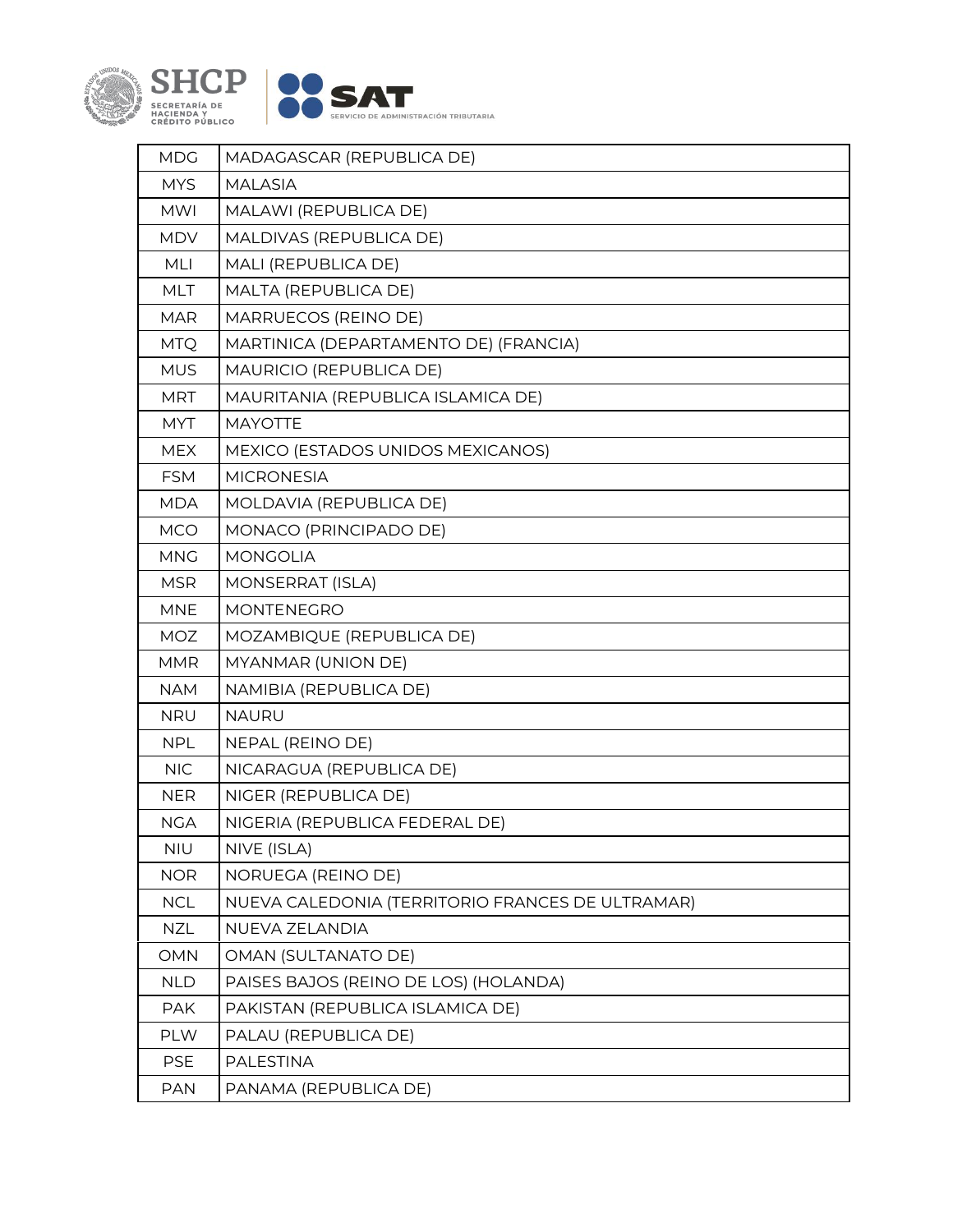

| <b>MDG</b> | MADAGASCAR (REPUBLICA DE)                        |
|------------|--------------------------------------------------|
| <b>MYS</b> | <b>MALASIA</b>                                   |
| <b>MWI</b> | MALAWI (REPUBLICA DE)                            |
| <b>MDV</b> | MALDIVAS (REPUBLICA DE)                          |
| MLI        | MALI (REPUBLICA DE)                              |
| <b>MLT</b> | MALTA (REPUBLICA DE)                             |
| <b>MAR</b> | MARRUECOS (REINO DE)                             |
| <b>MTQ</b> | MARTINICA (DEPARTAMENTO DE) (FRANCIA)            |
| <b>MUS</b> | MAURICIO (REPUBLICA DE)                          |
| <b>MRT</b> | MAURITANIA (REPUBLICA ISLAMICA DE)               |
| <b>MYT</b> | <b>MAYOTTE</b>                                   |
| <b>MEX</b> | MEXICO (ESTADOS UNIDOS MEXICANOS)                |
| <b>FSM</b> | <b>MICRONESIA</b>                                |
| <b>MDA</b> | MOLDAVIA (REPUBLICA DE)                          |
| <b>MCO</b> | MONACO (PRINCIPADO DE)                           |
| <b>MNG</b> | <b>MONGOLIA</b>                                  |
| <b>MSR</b> | MONSERRAT (ISLA)                                 |
| <b>MNE</b> | MONTENEGRO                                       |
| <b>MOZ</b> | MOZAMBIQUE (REPUBLICA DE)                        |
| <b>MMR</b> | MYANMAR (UNION DE)                               |
| <b>NAM</b> | NAMIBIA (REPUBLICA DE)                           |
| <b>NRU</b> | <b>NAURU</b>                                     |
| <b>NPL</b> | NEPAL (REINO DE)                                 |
| <b>NIC</b> | NICARAGUA (REPUBLICA DE)                         |
| <b>NER</b> | NIGER (REPUBLICA DE)                             |
| <b>NGA</b> | NIGERIA (REPUBLICA FEDERAL DE)                   |
| NIU        | NIVE (ISLA)                                      |
| <b>NOR</b> | NORUEGA (REINO DE)                               |
| <b>NCL</b> | NUEVA CALEDONIA (TERRITORIO FRANCES DE ULTRAMAR) |
| <b>NZL</b> | NUEVA ZELANDIA                                   |
| OMN        | OMAN (SULTANATO DE)                              |
| <b>NLD</b> | PAISES BAJOS (REINO DE LOS) (HOLANDA)            |
| <b>PAK</b> | PAKISTAN (REPUBLICA ISLAMICA DE)                 |
| PLW        | PALAU (REPUBLICA DE)                             |
| <b>PSE</b> | PALESTINA                                        |
| <b>PAN</b> | PANAMA (REPUBLICA DE)                            |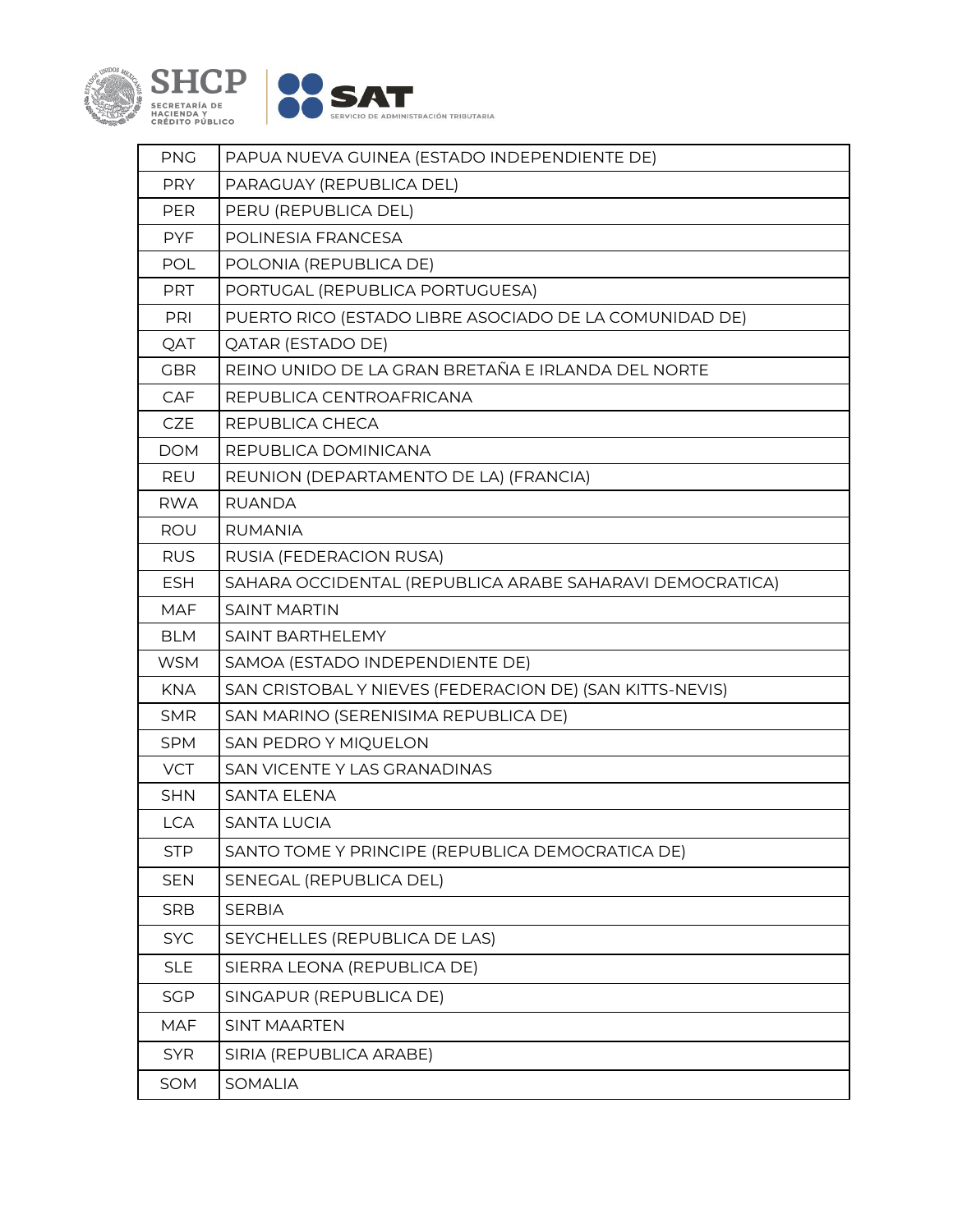

| <b>PNG</b> | PAPUA NUEVA GUINEA (ESTADO INDEPENDIENTE DE)             |
|------------|----------------------------------------------------------|
| <b>PRY</b> | PARAGUAY (REPUBLICA DEL)                                 |
| PER        | PERU (REPUBLICA DEL)                                     |
| <b>PYF</b> | POLINESIA FRANCESA                                       |
| POL        | POLONIA (REPUBLICA DE)                                   |
| <b>PRT</b> | PORTUGAL (REPUBLICA PORTUGUESA)                          |
| PRI        | PUERTO RICO (ESTADO LIBRE ASOCIADO DE LA COMUNIDAD DE)   |
| QAT        | <b>QATAR (ESTADO DE)</b>                                 |
| <b>GBR</b> | REINO UNIDO DE LA GRAN BRETAÑA E IRLANDA DEL NORTE       |
| CAF        | REPUBLICA CENTROAFRICANA                                 |
| <b>CZE</b> | REPUBLICA CHECA                                          |
| <b>DOM</b> | REPUBLICA DOMINICANA                                     |
| REU        | REUNION (DEPARTAMENTO DE LA) (FRANCIA)                   |
| <b>RWA</b> | <b>RUANDA</b>                                            |
| ROU        | <b>RUMANIA</b>                                           |
| <b>RUS</b> | RUSIA (FEDERACION RUSA)                                  |
| <b>ESH</b> | SAHARA OCCIDENTAL (REPUBLICA ARABE SAHARAVI DEMOCRATICA) |
| <b>MAF</b> | <b>SAINT MARTIN</b>                                      |
| <b>BLM</b> | SAINT BARTHELEMY                                         |
| <b>WSM</b> | SAMOA (ESTADO INDEPENDIENTE DE)                          |
| <b>KNA</b> | SAN CRISTOBAL Y NIEVES (FEDERACION DE) (SAN KITTS-NEVIS) |
| <b>SMR</b> | SAN MARINO (SERENISIMA REPUBLICA DE)                     |
| <b>SPM</b> | SAN PEDRO Y MIQUELON                                     |
| <b>VCT</b> | SAN VICENTE Y LAS GRANADINAS                             |
| <b>SHN</b> | <b>SANTA ELENA</b>                                       |
| <b>LCA</b> | <b>SANTA LUCIA</b>                                       |
| <b>STP</b> | SANTO TOME Y PRINCIPE (REPUBLICA DEMOCRATICA DE)         |
| <b>SEN</b> | SENEGAL (REPUBLICA DEL)                                  |
| <b>SRB</b> | <b>SERBIA</b>                                            |
| <b>SYC</b> | SEYCHELLES (REPUBLICA DE LAS)                            |
| <b>SLE</b> | SIERRA LEONA (REPUBLICA DE)                              |
| <b>SGP</b> | SINGAPUR (REPUBLICA DE)                                  |
| <b>MAF</b> | <b>SINT MAARTEN</b>                                      |
| <b>SYR</b> | SIRIA (REPUBLICA ARABE)                                  |
| SOM        | <b>SOMALIA</b>                                           |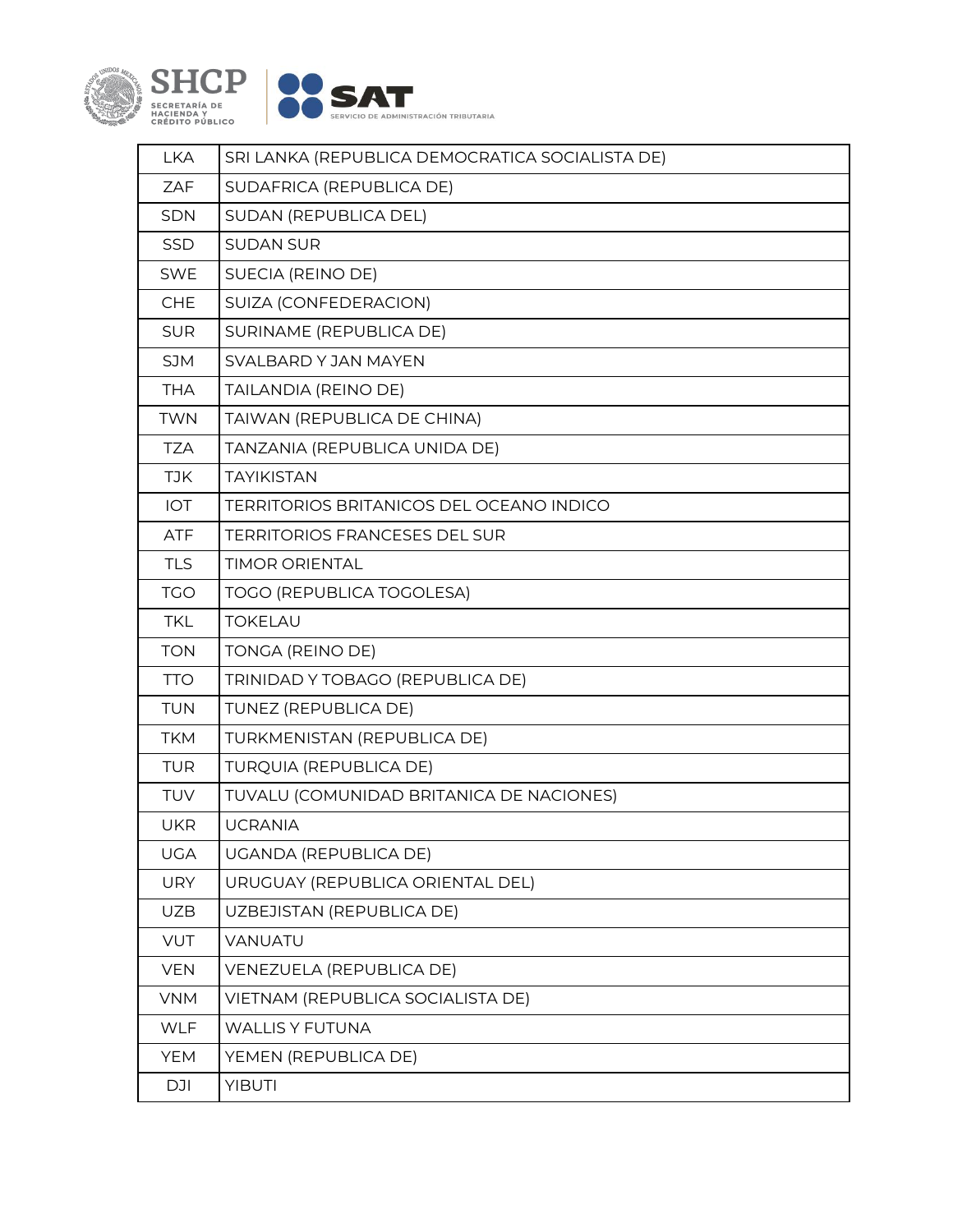

| <b>LKA</b> | SRI LANKA (REPUBLICA DEMOCRATICA SOCIALISTA DE) |
|------------|-------------------------------------------------|
| ZAF        | SUDAFRICA (REPUBLICA DE)                        |
| <b>SDN</b> | SUDAN (REPUBLICA DEL)                           |
| <b>SSD</b> | <b>SUDAN SUR</b>                                |
| <b>SWE</b> | SUECIA (REINO DE)                               |
| CHE        | SUIZA (CONFEDERACION)                           |
| <b>SUR</b> | SURINAME (REPUBLICA DE)                         |
| <b>SJM</b> | SVALBARD Y JAN MAYEN                            |
| <b>THA</b> | TAILANDIA (REINO DE)                            |
| <b>TWN</b> | TAIWAN (REPUBLICA DE CHINA)                     |
| <b>TZA</b> | TANZANIA (REPUBLICA UNIDA DE)                   |
| <b>TJK</b> | <b>TAYIKISTAN</b>                               |
| IOT        | <b>TERRITORIOS BRITANICOS DEL OCEANO INDICO</b> |
| <b>ATF</b> | <b>TERRITORIOS FRANCESES DEL SUR</b>            |
| <b>TLS</b> | <b>TIMOR ORIENTAL</b>                           |
| <b>TGO</b> | <b>TOGO (REPUBLICA TOGOLESA)</b>                |
| <b>TKL</b> | <b>TOKELAU</b>                                  |
| <b>TON</b> | TONGA (REINO DE)                                |
| <b>TTO</b> | TRINIDAD Y TOBAGO (REPUBLICA DE)                |
| <b>TUN</b> | TUNEZ (REPUBLICA DE)                            |
| <b>TKM</b> | TURKMENISTAN (REPUBLICA DE)                     |
| <b>TUR</b> | <b>TURQUIA (REPUBLICA DE)</b>                   |
| TUV        | TUVALU (COMUNIDAD BRITANICA DE NACIONES)        |
| <b>UKR</b> | <b>UCRANIA</b>                                  |
| <b>UGA</b> | <b>UGANDA (REPUBLICA DE)</b>                    |
| <b>URY</b> | URUGUAY (REPUBLICA ORIENTAL DEL)                |
| <b>UZB</b> | UZBEJISTAN (REPUBLICA DE)                       |
| <b>VUT</b> | VANUATU                                         |
| <b>VEN</b> | VENEZUELA (REPUBLICA DE)                        |
| <b>VNM</b> | VIETNAM (REPUBLICA SOCIALISTA DE)               |
| WLF        | <b>WALLIS Y FUTUNA</b>                          |
| <b>YEM</b> | YEMEN (REPUBLICA DE)                            |
| <b>DJI</b> | <b>YIBUTI</b>                                   |